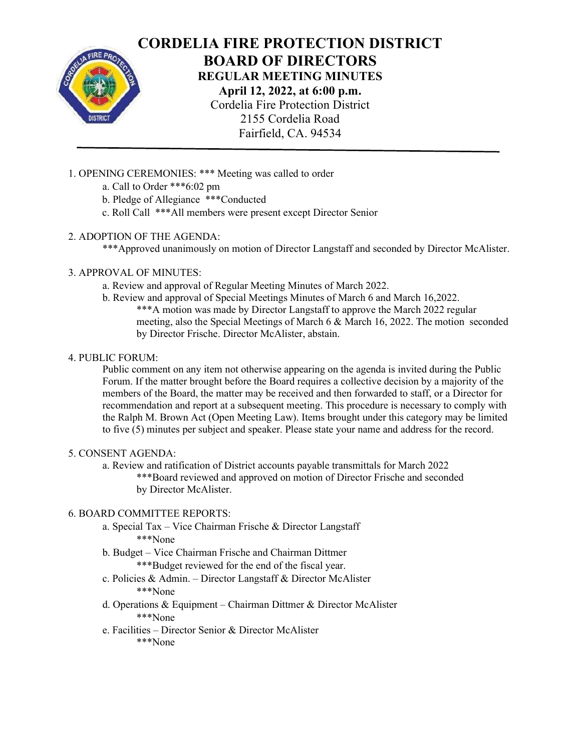

# CORDELIA FIRE PROTECTION DISTRICT BOARD OF DIRECTORS

REGULAR MEETING MINUTES

April 12, 2022, at 6:00 p.m. Cordelia Fire Protection District 2155 Cordelia Road Fairfield, CA. 94534

1. OPENING CEREMONIES: \*\*\* Meeting was called to order

- a. Call to Order \*\*\*6:02 pm
- b. Pledge of Allegiance \*\*\*Conducted
- c. Roll Call \*\*\*All members were present except Director Senior

# 2. ADOPTION OF THE AGENDA:

\*\*\*Approved unanimously on motion of Director Langstaff and seconded by Director McAlister.

# 3. APPROVAL OF MINUTES:

- a. Review and approval of Regular Meeting Minutes of March 2022.
- b. Review and approval of Special Meetings Minutes of March 6 and March 16,2022. \*\*\*A motion was made by Director Langstaff to approve the March 2022 regular meeting, also the Special Meetings of March 6 & March 16, 2022. The motion seconded by Director Frische. Director McAlister, abstain.

# 4. PUBLIC FORUM:

Public comment on any item not otherwise appearing on the agenda is invited during the Public Forum. If the matter brought before the Board requires a collective decision by a majority of the members of the Board, the matter may be received and then forwarded to staff, or a Director for recommendation and report at a subsequent meeting. This procedure is necessary to comply with the Ralph M. Brown Act (Open Meeting Law). Items brought under this category may be limited to five (5) minutes per subject and speaker. Please state your name and address for the record.

## 5. CONSENT AGENDA:

a. Review and ratification of District accounts payable transmittals for March 2022 \*\*\*Board reviewed and approved on motion of Director Frische and seconded by Director McAlister.

## 6. BOARD COMMITTEE REPORTS:

- a. Special Tax Vice Chairman Frische & Director Langstaff \*\*\*None
- b. Budget Vice Chairman Frische and Chairman Dittmer \*\*\*Budget reviewed for the end of the fiscal year.
- c. Policies & Admin. Director Langstaff & Director McAlister \*\*\*None
- d. Operations & Equipment Chairman Dittmer & Director McAlister \*\*\*None
- e. Facilities Director Senior & Director McAlister \*\*\*None